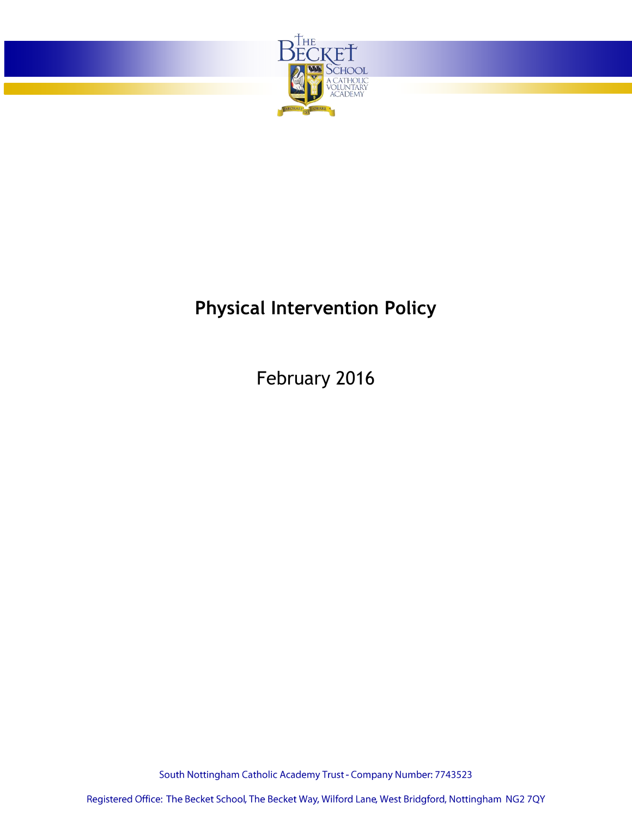

# **Physical Intervention Policy**

February 2016

South Nottingham Catholic Academy Trust - Company Number: 7743523

Registered Office: The Becket School, The Becket Way, Wilford Lane, West Bridgford, Nottingham NG2 7QY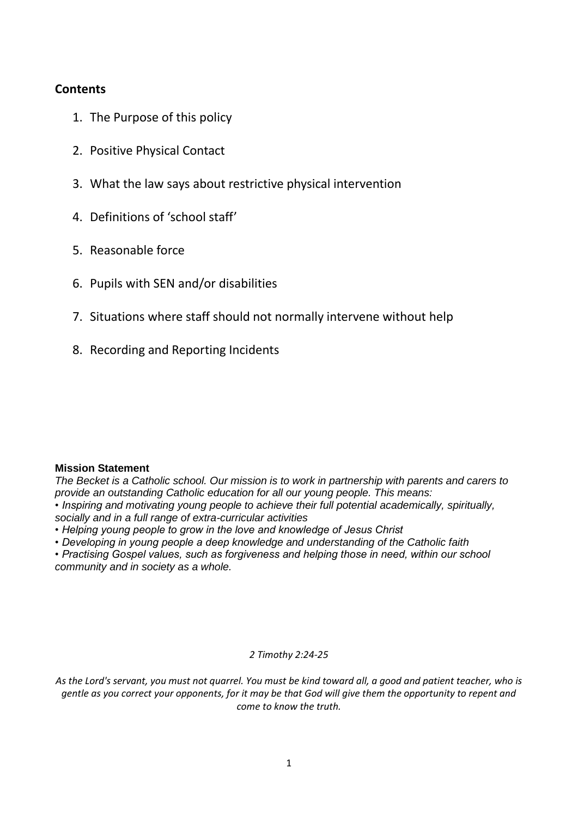## **Contents**

- 1. The Purpose of this policy
- 2. Positive Physical Contact
- 3. What the law says about restrictive physical intervention
- 4. Definitions of 'school staff'
- 5. Reasonable force
- 6. Pupils with SEN and/or disabilities
- 7. Situations where staff should not normally intervene without help
- 8. Recording and Reporting Incidents

#### **Mission Statement**

*The Becket is a Catholic school. Our mission is to work in partnership with parents and carers to provide an outstanding Catholic education for all our young people. This means:*

*• Inspiring and motivating young people to achieve their full potential academically, spiritually, socially and in a full range of extra-curricular activities*

- *Helping young people to grow in the love and knowledge of Jesus Christ*
- *Developing in young people a deep knowledge and understanding of the Catholic faith*

*• Practising Gospel values, such as forgiveness and helping those in need, within our school community and in society as a whole.*

#### *2 Timothy 2:24-25*

*As the Lord's servant, you must not quarrel. You must be kind toward all, a good and patient teacher, who is gentle as you correct your opponents, for it may be that God will give them the opportunity to repent and come to know the truth.*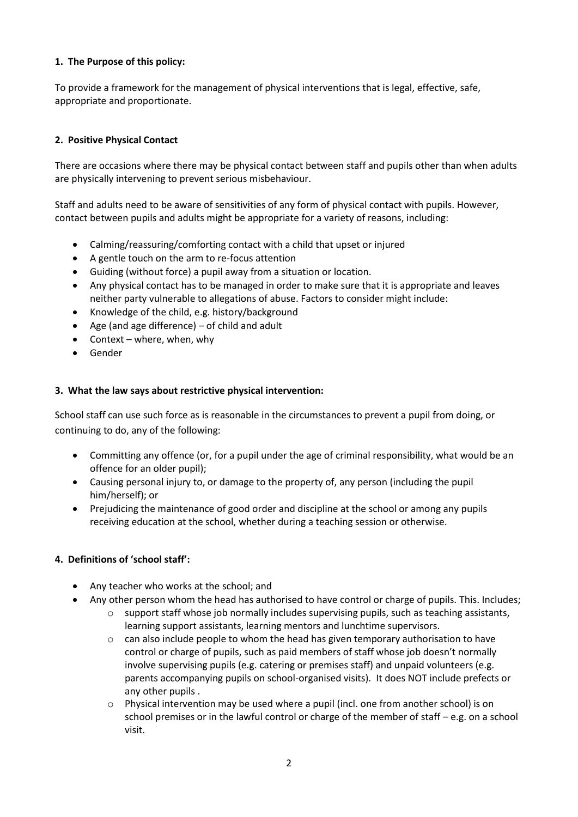#### **1. The Purpose of this policy:**

To provide a framework for the management of physical interventions that is legal, effective, safe, appropriate and proportionate.

### **2. Positive Physical Contact**

There are occasions where there may be physical contact between staff and pupils other than when adults are physically intervening to prevent serious misbehaviour.

Staff and adults need to be aware of sensitivities of any form of physical contact with pupils. However, contact between pupils and adults might be appropriate for a variety of reasons, including:

- Calming/reassuring/comforting contact with a child that upset or injured
- A gentle touch on the arm to re-focus attention
- Guiding (without force) a pupil away from a situation or location.
- Any physical contact has to be managed in order to make sure that it is appropriate and leaves neither party vulnerable to allegations of abuse. Factors to consider might include:
- Knowledge of the child, e.g. history/background
- Age (and age difference)  $-$  of child and adult
- $\bullet$  Context where, when, why
- Gender

#### **3. What the law says about restrictive physical intervention:**

School staff can use such force as is reasonable in the circumstances to prevent a pupil from doing, or continuing to do, any of the following:

- Committing any offence (or, for a pupil under the age of criminal responsibility, what would be an offence for an older pupil);
- Causing personal injury to, or damage to the property of, any person (including the pupil him/herself); or
- Prejudicing the maintenance of good order and discipline at the school or among any pupils receiving education at the school, whether during a teaching session or otherwise.

#### **4. Definitions of 'school staff':**

- Any teacher who works at the school; and
- Any other person whom the head has authorised to have control or charge of pupils. This. Includes;
	- $\circ$  support staff whose job normally includes supervising pupils, such as teaching assistants, learning support assistants, learning mentors and lunchtime supervisors.
	- $\circ$  can also include people to whom the head has given temporary authorisation to have control or charge of pupils, such as paid members of staff whose job doesn't normally involve supervising pupils (e.g. catering or premises staff) and unpaid volunteers (e.g. parents accompanying pupils on school-organised visits). It does NOT include prefects or any other pupils .
	- o Physical intervention may be used where a pupil (incl. one from another school) is on school premises or in the lawful control or charge of the member of staff – e.g. on a school visit.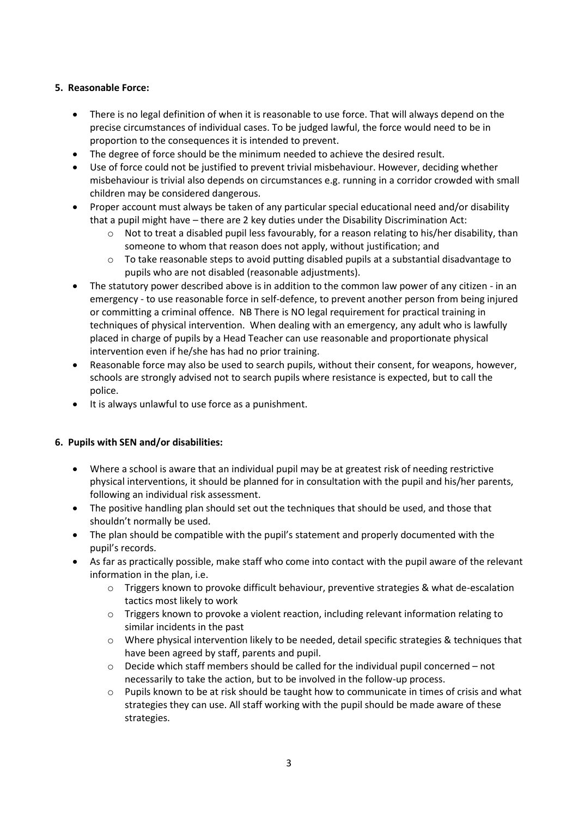### **5. Reasonable Force:**

- There is no legal definition of when it is reasonable to use force. That will always depend on the precise circumstances of individual cases. To be judged lawful, the force would need to be in proportion to the consequences it is intended to prevent.
- The degree of force should be the minimum needed to achieve the desired result.
- Use of force could not be justified to prevent trivial misbehaviour. However, deciding whether misbehaviour is trivial also depends on circumstances e.g. running in a corridor crowded with small children may be considered dangerous.
- Proper account must always be taken of any particular special educational need and/or disability that a pupil might have – there are 2 key duties under the Disability Discrimination Act:
	- $\circ$  Not to treat a disabled pupil less favourably, for a reason relating to his/her disability, than someone to whom that reason does not apply, without justification; and
	- o To take reasonable steps to avoid putting disabled pupils at a substantial disadvantage to pupils who are not disabled (reasonable adjustments).
- The statutory power described above is in addition to the common law power of any citizen in an emergency - to use reasonable force in self-defence, to prevent another person from being injured or committing a criminal offence. NB There is NO legal requirement for practical training in techniques of physical intervention. When dealing with an emergency, any adult who is lawfully placed in charge of pupils by a Head Teacher can use reasonable and proportionate physical intervention even if he/she has had no prior training.
- Reasonable force may also be used to search pupils, without their consent, for weapons, however, schools are strongly advised not to search pupils where resistance is expected, but to call the police.
- It is always unlawful to use force as a punishment.

#### **6. Pupils with SEN and/or disabilities:**

- Where a school is aware that an individual pupil may be at greatest risk of needing restrictive physical interventions, it should be planned for in consultation with the pupil and his/her parents, following an individual risk assessment.
- The positive handling plan should set out the techniques that should be used, and those that shouldn't normally be used.
- The plan should be compatible with the pupil's statement and properly documented with the pupil's records.
- As far as practically possible, make staff who come into contact with the pupil aware of the relevant information in the plan, i.e.
	- o Triggers known to provoke difficult behaviour, preventive strategies & what de-escalation tactics most likely to work
	- $\circ$  Triggers known to provoke a violent reaction, including relevant information relating to similar incidents in the past
	- $\circ$  Where physical intervention likely to be needed, detail specific strategies & techniques that have been agreed by staff, parents and pupil.
	- $\circ$  Decide which staff members should be called for the individual pupil concerned not necessarily to take the action, but to be involved in the follow-up process.
	- o Pupils known to be at risk should be taught how to communicate in times of crisis and what strategies they can use. All staff working with the pupil should be made aware of these strategies.